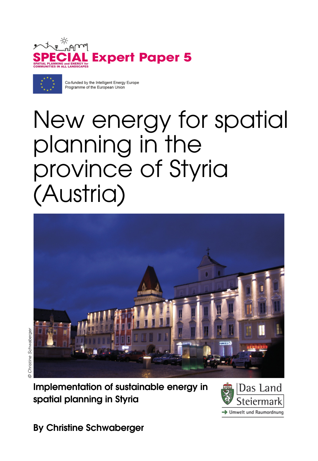



Co-funded by the Intelligent Energy Europe Programme of the European Union

# New energy for spatial planning in the province of Styria (Austria)



© Christine Schwaberger© Christine Schwaberger

> **Implementation of sustainable energy in spatial planning in Styria**



**By Christine Schwaberger**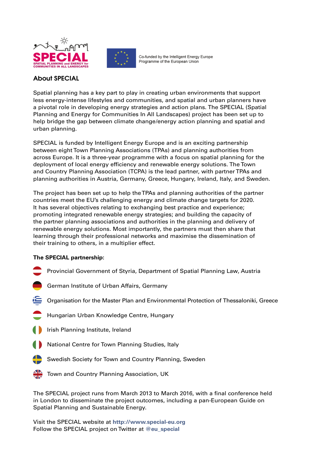



Co-funded by the Intelligent Energy Europe Programme of the European Union

#### **About SPECIAL**

Spatial planning has a key part to play in creating urban environments that support less energy-intense lifestyles and communities, and spatial and urban planners have a pivotal role in developing energy strategies and action plans. The SPECIAL (Spatial Planning and Energy for Communities In All Landscapes) project has been set up to help bridge the gap between climate change/energy action planning and spatial and urban planning.

SPECIAL is funded by Intelligent Energy Europe and is an exciting partnership between eight Town Planning Associations (TPAs) and planning authorities from across Europe. It is a three-year programme with a focus on spatial planning for the deployment of local energy efficiency and renewable energy solutions. The Town and Country Planning Association (TCPA) is the lead partner, with partner TPAs and planning authorities in Austria, Germany, Greece, Hungary, Ireland, Italy, and Sweden.

The project has been set up to help the TPAs and planning authorities of the partner countries meet the EU's challenging energy and climate change targets for 2020. It has several objectives relating to exchanging best practice and experience; promoting integrated renewable energy strategies; and building the capacity of the partner planning associations and authorities in the planning and delivery of renewable energy solutions. Most importantly, the partners must then share that learning through their professional networks and maximise the dissemination of their training to others, in a multiplier effect.

#### **The SPECIAL partnership:**

- Provincial Government of Styria, Department of Spatial Planning Law, Austria
- German Institute of Urban Affairs, Germany
- Organisation for the Master Plan and Environmental Protection of Thessaloniki, Greece
- Hungarian Urban Knowledge Centre, Hungary
- Irish Planning Institute, Ireland
- National Centre for Town Planning Studies, Italy
- Swedish Society for Town and Country Planning, Sweden
- Town and Country Planning Association, UK

The SPECIAL project runs from March 2013 to March 2016, with a final conference held in London to disseminate the project outcomes, including a pan-European Guide on Spatial Planning and Sustainable Energy.

Visit the SPECIAL website at **http://www.special-eu.org** Follow the SPECIAL project on Twitter at **@eu\_special**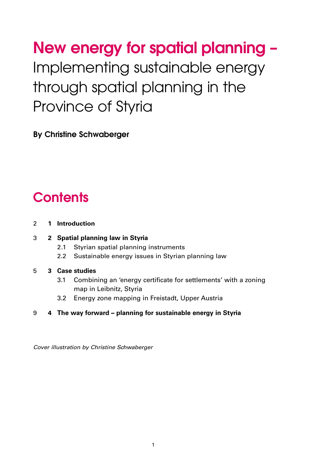**New energy for spatial planning –** Implementing sustainable energy through spatial planning in the Province of Styria

**By Christine Schwaberger**

### **Contents**

#### 2 **1 Introduction**

#### 3 **2 Spatial planning law in Styria**

- 2.1 Styrian spatial planning instruments
- 2.2 Sustainable energy issues in Styrian planning law

#### 5 **3 Case studies**

- 3.1 Combining an 'energy certificate for settlements' with a zoning map in Leibnitz, Styria
- 3.2 Energy zone mapping in Freistadt, Upper Austria

#### 9 **4 The way forward – planning for sustainable energy in Styria**

Cover illustration by Christine Schwaberger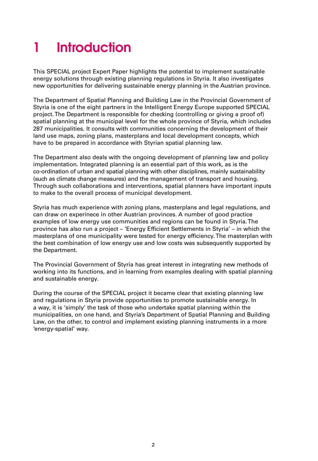# **1 Introduction**

This SPECIAL project Expert Paper highlights the potential to implement sustainable energy solutions through existing planning regulations in Styria. It also investigates new opportunities for delivering sustainable energy planning in the Austrian province.

The Department of Spatial Planning and Building Law in the Provincial Government of Styria is one of the eight partners in the Intelligent Energy Europe supported SPECIAL project. The Department is responsible for checking (controlling or giving a proof of) spatial planning at the municipal level for the whole province of Styria, which includes 287 municipalities. It consults with communities concerning the development of their land use maps, zoning plans, masterplans and local development concepts, which have to be prepared in accordance with Styrian spatial planning law.

The Department also deals with the ongoing development of planning law and policy implementation. Integrated planning is an essential part of this work, as is the co-ordination of urban and spatial planning with other disciplines, mainly sustainability (such as climate change measures) and the management of transport and housing. Through such collaborations and interventions, spatial planners have important inputs to make to the overall process of municipal development.

Styria has much experience with zoning plans, masterplans and legal regulations, and can draw on experinece in other Austrian provinces. A number of good practice examples of low energy use communities and regions can be found in Styria. The province has also run a project – 'Energy Efficient Settlements in Styria' – in which the masterplans of one municipality were tested for energy efficiency. The masterplan with the best combination of low energy use and low costs was subsequently supported by the Department.

The Provincial Government of Styria has great interest in integrating new methods of working into its functions, and in learning from examples dealing with spatial planning and sustainable energy.

During the course of the SPECIAL project it became clear that existing planning law and regulations in Styria provide opportunities to promote sustainable energy. In a way, it is 'simply' the task of those who undertake spatial planning within the municipalities, on one hand, and Styria's Department of Spatial Planning and Building Law, on the other, to control and implement existing planning instruments in a more 'energy-spatial' way.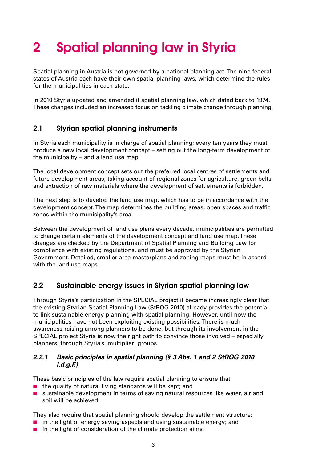# **2 Spatial planning law in Styria**

Spatial planning in Austria is not governed by a national planning act. The nine federal states of Austria each have their own spatial planning laws, which determine the rules for the municipalities in each state.

In 2010 Styria updated and amended it spatial planning law, which dated back to 1974. These changes included an increased focus on tackling climate change through planning.

#### **2.1 Styrian spatial planning instruments**

In Styria each municipality is in charge of spatial planning; every ten years they must produce a new local development concept – setting out the long-term development of the municipality – and a land use map.

The local development concept sets out the preferred local centres of settlements and future development areas, taking account of regional zones for agriculture, green belts and extraction of raw materials where the development of settlements is forbidden.

The next step is to develop the land use map, which has to be in accordance with the development concept. The map determines the building areas, open spaces and traffic zones within the municipality's area.

Between the development of land use plans every decade, municipalities are permitted to change certain elements of the development concept and land use map. These changes are checked by the Department of Spatial Planning and Building Law for compliance with existing regulations, and must be approved by the Styrian Government. Detailed, smaller-area masterplans and zoning maps must be in accord with the land use maps.

#### **2.2 Sustainable energy issues in Styrian spatial planning law**

Through Styria's participation in the SPECIAL project it became increasingly clear that the existing Styrian Spatial Planning Law (StROG 2010) already provides the potential to link sustainable energy planning with spatial planning. However, until now the municipalities have not been exploiting existing possibilities. There is much awareness-raising among planners to be done, but through its involvement in the SPECIAL project Styria is now the right path to convince those involved – especially planners, through Styria's 'multiplier' groups

#### **2.2.1 Basic principles in spatial planning (§ 3 Abs. 1 and 2 StROG 2010 i.d.g.F.)**

These basic principles of the law require spatial planning to ensure that:

- the quality of natural living standards will be kept; and
- sustainable development in terms of saving natural resources like water, air and soil will be achieved.

They also require that spatial planning should develop the settlement structure:

- in the light of energy saving aspects and using sustainable energy; and
- in the light of consideration of the climate protection aims.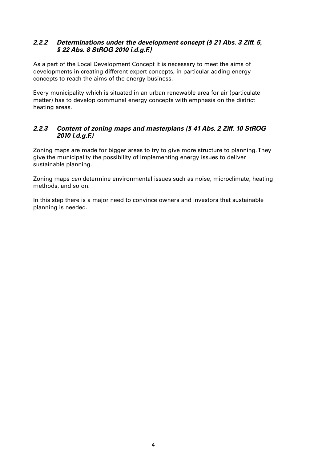#### **2.2.2 Determinations under the development concept (§ 21 Abs. 3 Ziff. 5, § 22 Abs. 8 StROG 2010 i.d.g.F.)**

As a part of the Local Development Concept it is necessary to meet the aims of developments in creating different expert concepts, in particular adding energy concepts to reach the aims of the energy business.

Every municipality which is situated in an urban renewable area for air (particulate matter) has to develop communal energy concepts with emphasis on the district heating areas.

#### **2.2.3 Content of zoning maps and masterplans (§ 41 Abs. 2 Ziff. 10 StROG 2010 i.d.g.F.)**

Zoning maps are made for bigger areas to try to give more structure to planning. They give the municipality the possibility of implementing energy issues to deliver sustainable planning.

Zoning maps can determine environmental issues such as noise, microclimate, heating methods, and so on.

In this step there is a major need to convince owners and investors that sustainable planning is needed.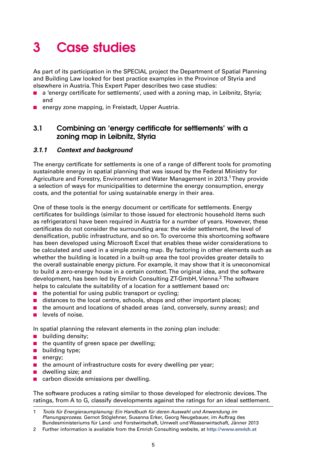### **3 Case studies**

As part of its participation in the SPECIAL project the Department of Spatial Planning and Building Law looked for best practice examples in the Province of Styria and elsewhere in Austria. This Expert Paper describes two case studies:

- a 'energy certificate for settlements', used with a zoning map, in Leibnitz, Styria; and
- energy zone mapping, in Freistadt, Upper Austria.

#### **3.1 Combining an 'energy certificate for settlements' with a zoning map in Leibnitz, Styria**

#### **3.1.1 Context and background**

The energy certificate for settlements is one of a range of different tools for promoting sustainable energy in spatial planning that was issued by the Federal Ministry for Agriculture and Forestry, Environment and Water Management in 2013.1They provide a selection of ways for municipalities to determine the energy consumption, energy costs, and the potential for using sustainable energy in their area.

One of these tools is the energy document or certificate for settlements. Energy certificates for buildings (similar to those issued for electronic household items such as refrigerators) have been required in Austria for a number of years. However, these certificates do not consider the surrounding area: the wider settlement, the level of densification, public infrastructure, and so on. To overcome this shortcoming software has been developed using Microsoft Excel that enables these wider considerations to be calculated and used in a simple zoning map. By factoring in other elements such as whether the building is located in a built-up area the tool provides greater details to the overall sustainable energy picture. For example, it may show that it is uneconomical to build a zero-energy house in a certain context. The original idea, and the software development, has been led by Emrich Consulting ZT-GmbH, Vienna.<sup>2</sup> The software helps to calculate the suitability of a location for a settlement based on:

- the potential for using public transport or cycling;
- distances to the local centre, schools, shops and other important places;
- the amount and locations of shaded areas (and, conversely, sunny areas); and
- levels of noise.

In spatial planning the relevant elements in the zoning plan include:

- building density;
- the quantity of green space per dwelling;
- building type;
- energy;
- the amount of infrastructure costs for every dwelling per year;
- dwelling size: and
- carbon dioxide emissions per dwelling.

The software produces a rating similar to those developed for electronic devices. The ratings, from A to G, classify developments against the ratings for an ideal settlement.

<sup>1</sup> Tools für Energieraumplanung: Ein Handbuch für deren Auswahl und Anwendung im Planungsprozess. Gernot Stöglehner, Susanna Erker, Georg Neugebauer, im Auftrag des Bundesministeriums für Land- und Forstwirtschaft, Umwelt und Wasserwirtschaft, Jänner 2013

<sup>2</sup> Further information is available from the Emrich Consulting website, at **http://www.emrich.at**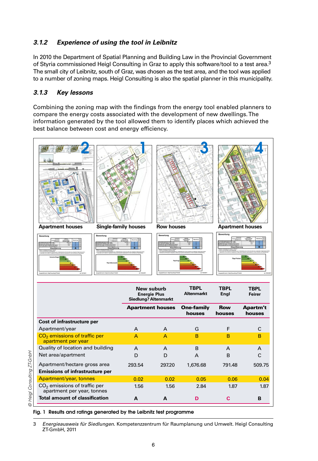#### **3.1.2 Experience of using the tool in Leibnitz**

In 2010 the Department of Spatial Planning and Building Law in the Provincial Government of Styria commissioned Heigl Consulting in Graz to apply this software/tool to a test area.<sup>3</sup> The small city of Leibnitz, south of Graz, was chosen as the test area, and the tool was applied to a number of zoning maps. Heigl Consulting is also the spatial planner in this municipality.

#### **3.1.3 Key lessons**

Combining the zoning map with the findings from the energy tool enabled planners to compare the energy costs associated with the development of new dwellings. The information generated by the tool allowed them to identify places which achieved the best balance between cost and energy efficiency.



| <b>Total amount of classification</b>                                  | A      | A      | D        | С      | B      |
|------------------------------------------------------------------------|--------|--------|----------|--------|--------|
| CO <sub>2</sub> emissions of traffic per<br>apartment per year, tonnes | 1.56   | 1.56   | 2.84     | 1.87   | 1.87   |
| Apartment/year, tonnes                                                 | 0.02   | 0.02   | 0.05     | 0.06   | 0.04   |
| <b>Emissions of infrastructure per</b>                                 |        |        |          |        |        |
| Apartment/hectare gross area                                           | 293.54 | 297.20 | 1,676.68 | 791.48 | 509.75 |
| Net area/apartment                                                     | D      | D      | A        | B      | C      |
| Quality of location and building                                       | A      | A      | B        | A      | A      |
| apartment per year                                                     |        |        |          |        |        |

<sup>3</sup> Energieausweis für Siedlungen. Kompetenzzentrum für Raumplanung und Umwelt. Heigl Consulting ZT-GmbH, 2011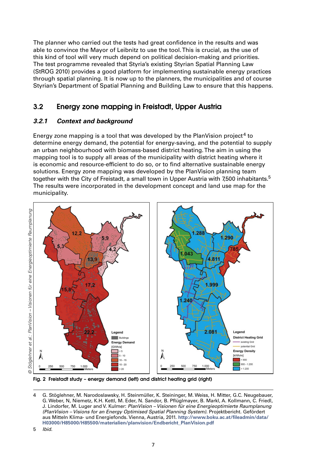The planner who carried out the tests had great confidence in the results and was able to convince the Mayor of Leibnitz to use the tool. This is crucial, as the use of this kind of tool will very much depend on political decision-making and priorities. The test programme revealed that Styria's existing Styrian Spatial Planning Law (StROG 2010) provides a good platform for implementing sustainable energy practices through spatial planning. It is now up to the planners, the municipalities and of course Styrian's Department of Spatial Planning and Building Law to ensure that this happens.

#### **3.2 Energy zone mapping in Freistadt, Upper Austria**

#### **3.2.1 Context and background**

Energy zone mapping is a tool that was developed by the PlanVision project<sup>4</sup> to determine energy demand, the potential for energy-saving, and the potential to supply an urban neighbourhood with biomass-based district heating. The aim in using the mapping tool is to supply all areas of the municipality with district heating where it is economic and resource-efficient to do so, or to find alternative sustainable energy solutions. Energy zone mapping was developed by the PlanVision planning team together with the City of Freistadt, a small town in Upper Austria with 7,500 inhabitants.<sup>5</sup> The results were incorporated in the development concept and land use map for the municipality.



**Fig. 2 Freistadt study – energy demand (left) and district heating grid (right)**

<sup>4</sup> G. Stöglehner, M. Narodoslawsky, H. Steinmüller, K. Steininger, M. Weiss, H. Mitter, G.C. Neugebauer, G. Weber, N, Niemetz, K.H. Kettl, M. Eder, N. Sandor, B. Pflüglmayer, B. Markl, A. Kollmann, C. Friedl, J. Lindorfer, M. Luger and V. Kulmer: PlanVision – Visionen für eine Energieoptimierte Raumplanung (PlanVision – Visions for an Energy Optimised Spatial Planning System). Projektbericht. Gefördert aus Mitteln Klima- und Energiefonds. Vienna, Austria, 2011. **http://www.boku.ac.at/fileadmin/data/ H03000/H85000/H85500/materialien/planvision/Endbericht\_PlanVision.pdf**

<sup>5</sup> Ibid.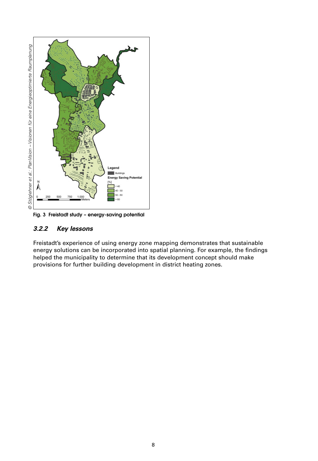

**Fig. 3 Freistadt study – energy-saving potential**

#### **3.2.2 Key lessons**

Freistadt's experience of using energy zone mapping demonstrates that sustainable energy solutions can be incorporated into spatial planning. For example, the findings helped the municipality to determine that its development concept should make provisions for further building development in district heating zones.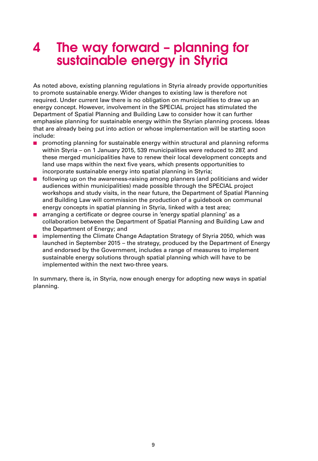### **4 The way forward – planning for sustainable energy in Styria**

As noted above, existing planning regulations in Styria already provide opportunities to promote sustainable energy. Wider changes to existing law is therefore not required. Under current law there is no obligation on municipalities to draw up an energy concept. However, involvement in the SPECIAL project has stimulated the Department of Spatial Planning and Building Law to consider how it can further emphasise planning for sustainable energy within the Styrian planning process. Ideas that are already being put into action or whose implementation will be starting soon include:

- promoting planning for sustainable energy within structural and planning reforms within Styria – on 1 January 2015, 539 municipalities were reduced to 287, and these merged municipalities have to renew their local development concepts and land use maps within the next five years, which presents opportunities to incorporate sustainable energy into spatial planning in Styria;
- following up on the awareness-raising among planners (and politicians and wider audiences within municipalities) made possible through the SPECIAL project workshops and study visits, in the near future, the Department of Spatial Planning and Building Law will commission the production of a guidebook on communal energy concepts in spatial planning in Styria, linked with a test area;
- arranging a certificate or degree course in 'energy spatial planning' as a collaboration between the Department of Spatial Planning and Building Law and the Department of Energy; and
- implementing the Climate Change Adaptation Strategy of Styria 2050, which was launched in September 2015 – the strategy, produced by the Department of Energy and endorsed by the Government, includes a range of measures to implement sustainable energy solutions through spatial planning which will have to be implemented within the next two-three years.

In summary, there is, in Styria, now enough energy for adopting new ways in spatial planning.